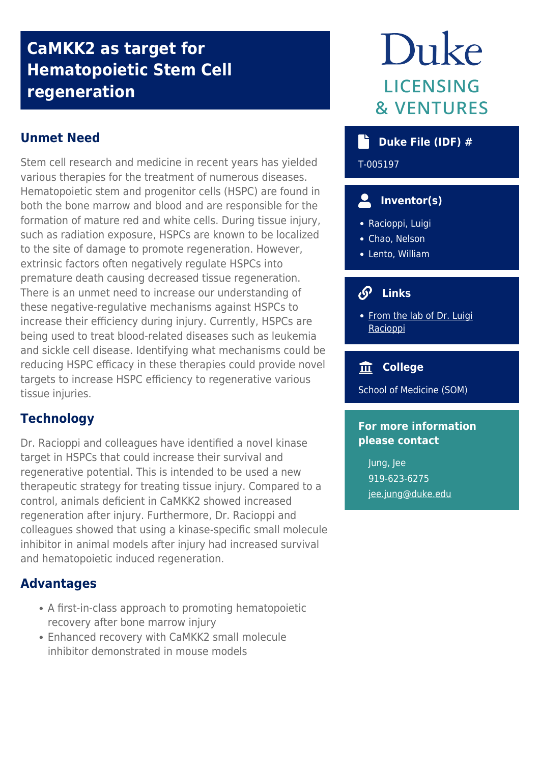# **CaMKK2 as target for Hematopoietic Stem Cell regeneration**

# **Unmet Need**

Stem cell research and medicine in recent years has yielded various therapies for the treatment of numerous diseases. Hematopoietic stem and progenitor cells (HSPC) are found in both the bone marrow and blood and are responsible for the formation of mature red and white cells. During tissue injury, such as radiation exposure, HSPCs are known to be localized to the site of damage to promote regeneration. However, extrinsic factors often negatively regulate HSPCs into premature death causing decreased tissue regeneration. There is an unmet need to increase our understanding of these negative-regulative mechanisms against HSPCs to increase their efficiency during injury. Currently, HSPCs are being used to treat blood-related diseases such as leukemia and sickle cell disease. Identifying what mechanisms could be reducing HSPC efficacy in these therapies could provide novel targets to increase HSPC efficiency to regenerative various tissue injuries.

# **Technology**

Dr. Racioppi and colleagues have identified a novel kinase target in HSPCs that could increase their survival and regenerative potential. This is intended to be used a new therapeutic strategy for treating tissue injury. Compared to a control, animals deficient in CaMKK2 showed increased regeneration after injury. Furthermore, Dr. Racioppi and colleagues showed that using a kinase-specific small molecule inhibitor in animal models after injury had increased survival and hematopoietic induced regeneration.

## **Advantages**

- A first-in-class approach to promoting hematopoietic recovery after bone marrow injury
- Enhanced recovery with CaMKK2 small molecule inhibitor demonstrated in mouse models

# Duke **LICENSING & VENTURES**

### **Duke File (IDF) #**

T-005197

# **Inventor(s)**

- Racioppi, Luigi
- Chao, Nelson
- Lento, William

#### $\mathcal{S}$  **Links**

• [From the lab of Dr. Luigi](https://medicine.duke.edu/divisions/hematologic-malignancies-and-cellular-therapy/research/institutes-and-labs/racioppi-lab) [Racioppi](https://medicine.duke.edu/divisions/hematologic-malignancies-and-cellular-therapy/research/institutes-and-labs/racioppi-lab)

#### **College**

School of Medicine (SOM)

#### **For more information please contact**

Jung, Jee 919-623-6275 [jee.jung@duke.edu](mailto:jee.jung@duke.edu)